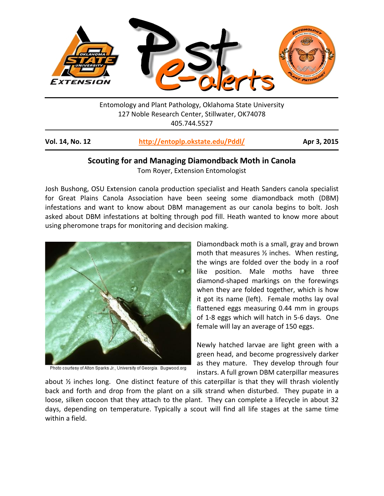

Entomology and Plant Pathology, Oklahoma State University 127 Noble Research Center, Stillwater, OK74078 405.744.5527

| Vol. 14, No. 12 | http://entoplp.okstate.edu/Pddl/ | Apr 3, 2015 |
|-----------------|----------------------------------|-------------|
|-----------------|----------------------------------|-------------|

# **Scouting for and Managing Diamondback Moth in Canola**

Tom Royer, Extension Entomologist

Josh Bushong, OSU Extension canola production specialist and Heath Sanders canola specialist for Great Plains Canola Association have been seeing some diamondback moth (DBM) infestations and want to know about DBM management as our canola begins to bolt. Josh asked about DBM infestations at bolting through pod fill. Heath wanted to know more about using pheromone traps for monitoring and decision making.



Photo courtesy of Alton Sparks Jr., University of Georgia. Bugwood.org

Diamondback moth is a small, gray and brown moth that measures ½ inches. When resting, the wings are folded over the body in a roof like position. Male moths have three diamond-shaped markings on the forewings when they are folded together, which is how it got its name (left). Female moths lay oval flattened eggs measuring 0.44 mm in groups of 1-8 eggs which will hatch in 5-6 days. One female will lay an average of 150 eggs.

Newly hatched larvae are light green with a green head, and become progressively darker as they mature. They develop through four instars. A full grown DBM caterpillar measures

about ½ inches long. One distinct feature of this caterpillar is that they will thrash violently back and forth and drop from the plant on a silk strand when disturbed. They pupate in a loose, silken cocoon that they attach to the plant. They can complete a lifecycle in about 32 days, depending on temperature. Typically a scout will find all life stages at the same time within a field.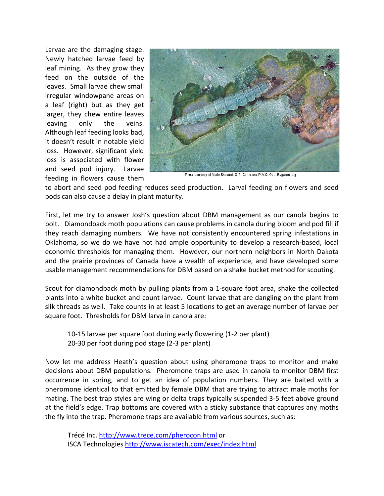Larvae are the damaging stage. Newly hatched larvae feed by leaf mining. As they grow they feed on the outside of the leaves. Small larvae chew small irregular windowpane areas on a leaf (right) but as they get larger, they chew entire leaves leaving only the veins. Although leaf feeding looks bad, it doesn't result in notable yield loss. However, significant yield loss is associated with flower and seed pod injury. Larvae feeding in flowers cause them



Photo courtesy of Merle Shepard, G.R. Carne and P.A.C. Ooi. Bugwood.org

to abort and seed pod feeding reduces seed production. Larval feeding on flowers and seed pods can also cause a delay in plant maturity.

First, let me try to answer Josh's question about DBM management as our canola begins to bolt. Diamondback moth populations can cause problems in canola during bloom and pod fill if they reach damaging numbers. We have not consistently encountered spring infestations in Oklahoma, so we do we have not had ample opportunity to develop a research-based, local economic thresholds for managing them. However, our northern neighbors in North Dakota and the prairie provinces of Canada have a wealth of experience, and have developed some usable management recommendations for DBM based on a shake bucket method for scouting.

Scout for diamondback moth by pulling plants from a 1-square foot area, shake the collected plants into a white bucket and count larvae. Count larvae that are dangling on the plant from silk threads as well. Take counts in at least 5 locations to get an average number of larvae per square foot. Thresholds for DBM larva in canola are:

10-15 larvae per square foot during early flowering (1-2 per plant) 20-30 per foot during pod stage (2-3 per plant)

Now let me address Heath's question about using pheromone traps to monitor and make decisions about DBM populations. Pheromone traps are used in canola to monitor DBM first occurrence in spring, and to get an idea of population numbers. They are baited with a pheromone identical to that emitted by female DBM that are trying to attract male moths for mating. The best trap styles are wing or delta traps typically suspended 3-5 feet above ground at the field's edge. Trap bottoms are covered with a sticky substance that captures any moths the fly into the trap. Pheromone traps are available from various sources, such as:

Trécé Inc.<http://www.trece.com/pherocon.html> or ISCA Technologies<http://www.iscatech.com/exec/index.html>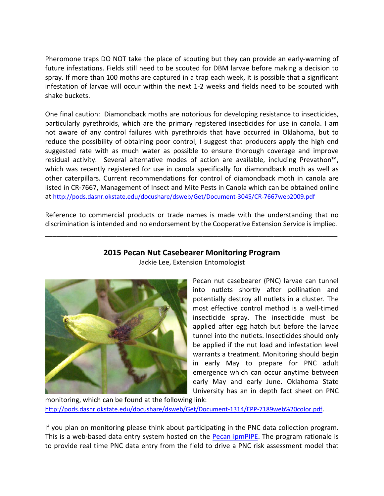Pheromone traps DO NOT take the place of scouting but they can provide an early-warning of future infestations. Fields still need to be scouted for DBM larvae before making a decision to spray. If more than 100 moths are captured in a trap each week, it is possible that a significant infestation of larvae will occur within the next 1-2 weeks and fields need to be scouted with shake buckets.

One final caution: Diamondback moths are notorious for developing resistance to insecticides, particularly pyrethroids, which are the primary registered insecticides for use in canola. I am not aware of any control failures with pyrethroids that have occurred in Oklahoma, but to reduce the possibility of obtaining poor control, I suggest that producers apply the high end suggested rate with as much water as possible to ensure thorough coverage and improve residual activity. Several alternative modes of action are available, including Prevathon™, which was recently registered for use in canola specifically for diamondback moth as well as other caterpillars. Current recommendations for control of diamondback moth in canola are listed in CR-7667, Management of Insect and Mite Pests in Canola which can be obtained online at<http://pods.dasnr.okstate.edu/docushare/dsweb/Get/Document-3045/CR-7667web2009.pdf>

Reference to commercial products or trade names is made with the understanding that no discrimination is intended and no endorsement by the Cooperative Extension Service is implied.

\_\_\_\_\_\_\_\_\_\_\_\_\_\_\_\_\_\_\_\_\_\_\_\_\_\_\_\_\_\_\_\_\_\_\_\_\_\_\_\_\_\_\_\_\_\_\_\_\_\_\_\_\_\_\_\_\_\_\_\_\_\_\_\_\_\_\_\_\_\_\_\_\_\_\_\_\_\_

# **2015 Pecan Nut Casebearer Monitoring Program**



Jackie Lee, Extension Entomologist

Pecan nut casebearer (PNC) larvae can tunnel into nutlets shortly after pollination and potentially destroy all nutlets in a cluster. The most effective control method is a well-timed insecticide spray. The insecticide must be applied after egg hatch but before the larvae tunnel into the nutlets. Insecticides should only be applied if the nut load and infestation level warrants a treatment. Monitoring should begin in early May to prepare for PNC adult emergence which can occur anytime between early May and early June. Oklahoma State University has an in depth fact sheet on PNC

monitoring, which can be found at the following link: [http://pods.dasnr.okstate.edu/docushare/dsweb/Get/Document-1314/EPP-7189web%20color.pdf.](http://pods.dasnr.okstate.edu/docushare/dsweb/Get/Document-1314/EPP-7189web%20color.pdf)

If you plan on monitoring please think about participating in the PNC data collection program. This is a web-based data entry system hosted on the **Pecan ipmPIPE**. The program rationale is to provide real time PNC data entry from the field to drive a PNC risk assessment model that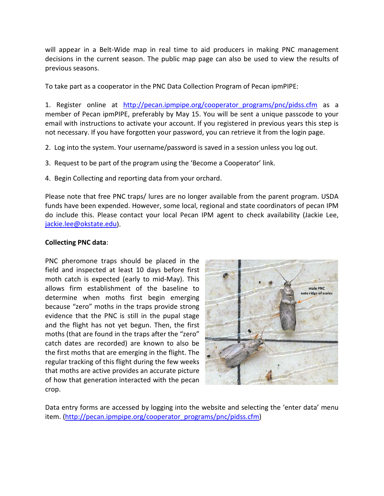will appear in a Belt-Wide map in real time to aid producers in making PNC management decisions in the current season. The public map page can also be used to view the results of previous seasons.

To take part as a cooperator in the PNC Data Collection Program of Pecan ipmPIPE:

1. Register online at [http://pecan.ipmpipe.org/cooperator\\_programs/pnc/pidss.cfm](http://pecan.ipmpipe.org/cooperator_programs/pnc/pidss.cfm) as a member of Pecan ipmPIPE, preferably by May 15. You will be sent a unique passcode to your email with instructions to activate your account. If you registered in previous years this step is not necessary. If you have forgotten your password, you can retrieve it from the login page.

- 2. Log into the system. Your username/password is saved in a session unless you log out.
- 3. Request to be part of the program using the 'Become a Cooperator' link.
- 4. Begin Collecting and reporting data from your orchard.

Please note that free PNC traps/ lures are no longer available from the parent program. USDA funds have been expended. However, some local, regional and state coordinators of pecan IPM do include this. Please contact your local Pecan IPM agent to check availability (Jackie Lee, [jackie.lee@okstate.edu\)](mailto:jackie.lee@okstate.edu).

# **Collecting PNC data**:

PNC pheromone traps should be placed in the field and inspected at least 10 days before first moth catch is expected (early to mid-May). This allows firm establishment of the baseline to determine when moths first begin emerging because "zero" moths in the traps provide strong evidence that the PNC is still in the pupal stage and the flight has not yet begun. Then, the first moths (that are found in the traps after the "zero" catch dates are recorded) are known to also be the first moths that are emerging in the flight. The regular tracking of this flight during the few weeks that moths are active provides an accurate picture of how that generation interacted with the pecan crop.



Data entry forms are accessed by logging into the website and selecting the 'enter data' menu item. [\(http://pecan.ipmpipe.org/cooperator\\_programs/pnc/pidss.cfm\)](http://pecan.ipmpipe.org/cooperator_programs/pnc/pidss.cfm)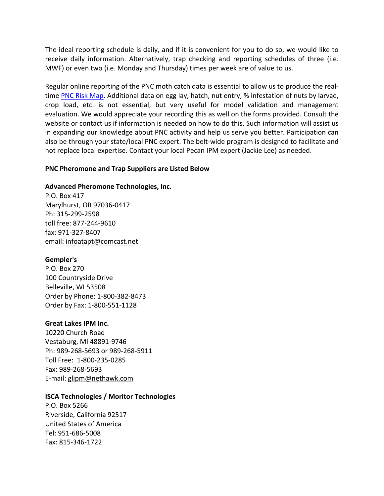The ideal reporting schedule is daily, and if it is convenient for you to do so, we would like to receive daily information. Alternatively, trap checking and reporting schedules of three (i.e. MWF) or even two (i.e. Monday and Thursday) times per week are of value to us.

Regular online reporting of the PNC moth catch data is essential to allow us to produce the real-time [PNC Risk Map.](http://pecan.ipmpipe.org/Maps/pncRiskMap) Additional data on egg lay, hatch, nut entry, % infestation of nuts by larvae, crop load, etc. is not essential, but very useful for model validation and management evaluation. We would appreciate your recording this as well on the forms provided. Consult the website or contact us if information is needed on how to do this. Such information will assist us in expanding our knowledge about PNC activity and help us serve you better. Participation can also be through your state/local PNC expert. The belt-wide program is designed to facilitate and not replace local expertise. Contact your local Pecan IPM expert (Jackie Lee) as needed.

### **PNC Pheromone and Trap Suppliers are Listed Below**

### **Advanced Pheromone Technologies, Inc.**

P.O. Box 417 Marylhurst, OR 97036-0417 Ph: 315-299-2598 toll free: 877-244-9610 fax: 971-327-8407 email: infoatapt@comcast.net

#### **[Gempler's](http://www.gemplers.com/)**

P.O. Box 270 100 Countryside Drive Belleville, WI 53508 Order by Phone: 1-800-382-8473 Order by Fax: 1-800-551-1128

#### **[Great Lakes IPM Inc.](http://www.greatlakesipm.com/)**

10220 Church Road Vestaburg, MI 48891-9746 Ph: 989-268-5693 or 989-268-5911 Toll Free: 1-800-235-0285 Fax: 989-268-5693 E-mail: [glipm@nethawk.com](mailto:glipm@nethawk.com)

# **[ISCA Technologies / Moritor Technologies](http://www.iscatech.com/exec/)**

P.O. Box 5266 Riverside, California 92517 United States of America Tel: 951-686-5008 Fax: 815-346-1722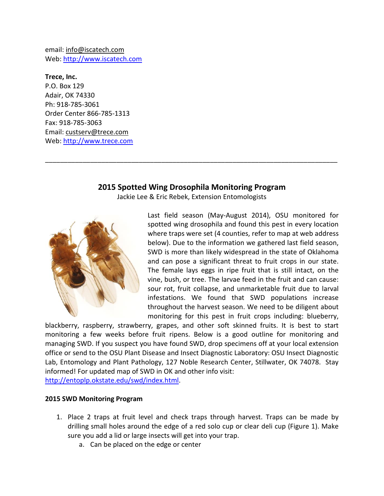email: [info@iscatech.com](mailto:info@iscatech.com) Web: [http://www.iscatech.com](http://www.iscatech.com/)

**[Trece, Inc.](http://www.trece.com/)** P.O. Box 129 Adair, OK 74330 Ph: 918-785-3061 Order Center 866-785-1313 Fax: 918-785-3063 Email: custserv@trece.com Web: [http://www.trece.com](http://www.trece.com/)

# **2015 Spotted Wing Drosophila Monitoring Program**

\_\_\_\_\_\_\_\_\_\_\_\_\_\_\_\_\_\_\_\_\_\_\_\_\_\_\_\_\_\_\_\_\_\_\_\_\_\_\_\_\_\_\_\_\_\_\_\_\_\_\_\_\_\_\_\_\_\_\_\_\_\_\_\_\_\_\_\_\_\_\_\_\_\_\_\_\_\_

Jackie Lee & Eric Rebek, Extension Entomologists



Last field season (May-August 2014), OSU monitored for spotted wing drosophila and found this pest in every location where traps were set (4 counties, refer to map at web address below). Due to the information we gathered last field season, SWD is more than likely widespread in the state of Oklahoma and can pose a significant threat to fruit crops in our state. The female lays eggs in ripe fruit that is still intact, on the vine, bush, or tree. The larvae feed in the fruit and can cause: sour rot, fruit collapse, and unmarketable fruit due to larval infestations. We found that SWD populations increase throughout the harvest season. We need to be diligent about monitoring for this pest in fruit crops including: blueberry,

blackberry, raspberry, strawberry, grapes, and other soft skinned fruits. It is best to start monitoring a few weeks before fruit ripens. Below is a good outline for monitoring and managing SWD. If you suspect you have found SWD, drop specimens off at your local extension office or send to the OSU Plant Disease and Insect Diagnostic Laboratory: OSU Insect Diagnostic Lab, Entomology and Plant Pathology, 127 Noble Research Center, Stillwater, OK 74078. Stay informed! For updated map of SWD in OK and other info visit: [http://entoplp.okstate.edu/swd/index.html.](http://entoplp.okstate.edu/swd/index.html)

# **2015 SWD Monitoring Program**

- 1. Place 2 traps at fruit level and check traps through harvest. Traps can be made by drilling small holes around the edge of a red solo cup or clear deli cup (Figure 1). Make sure you add a lid or large insects will get into your trap.
	- a. Can be placed on the edge or center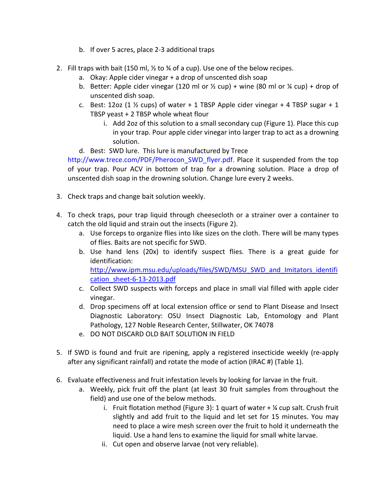- b. If over 5 acres, place 2-3 additional traps
- 2. Fill traps with bait (150 ml,  $\frac{1}{2}$  to  $\frac{1}{2}$  of a cup). Use one of the below recipes.
	- a. Okay: Apple cider vinegar + a drop of unscented dish soap
	- b. Better: Apple cider vinegar (120 ml or  $\frac{1}{2}$  cup) + wine (80 ml or  $\frac{1}{4}$  cup) + drop of unscented dish soap.
	- c. Best: 12oz (1  $\frac{1}{2}$  cups) of water + 1 TBSP Apple cider vinegar + 4 TBSP sugar + 1 TBSP yeast + 2 TBSP whole wheat flour
		- i. Add 2oz of this solution to a small secondary cup (Figure 1). Place this cup in your trap. Pour apple cider vinegar into larger trap to act as a drowning solution.
	- d. Best: SWD lure. This lure is manufactured by Trece

http://www.trece.com/PDF/Pherocon\_SWD\_flyer.pdf. Place it suspended from the top of your trap. Pour ACV in bottom of trap for a drowning solution. Place a drop of unscented dish soap in the drowning solution. Change lure every 2 weeks.

- 3. Check traps and change bait solution weekly.
- 4. To check traps, pour trap liquid through cheesecloth or a strainer over a container to catch the old liquid and strain out the insects (Figure 2).
	- a. Use forceps to organize flies into like sizes on the cloth. There will be many types of flies. Baits are not specific for SWD.
	- b. Use hand lens (20x) to identify suspect flies. There is a great guide for identification: [http://www.ipm.msu.edu/uploads/files/SWD/MSU\\_SWD\\_and\\_Imitators\\_identifi](http://www.ipm.msu.edu/uploads/files/SWD/MSU_SWD_and_Imitators_identification_sheet-6-13-2013.pdf) [cation\\_sheet-6-13-2013.pdf](http://www.ipm.msu.edu/uploads/files/SWD/MSU_SWD_and_Imitators_identification_sheet-6-13-2013.pdf)
	- c. Collect SWD suspects with forceps and place in small vial filled with apple cider vinegar.
	- d. Drop specimens off at local extension office or send to Plant Disease and Insect Diagnostic Laboratory: OSU Insect Diagnostic Lab, Entomology and Plant Pathology, 127 Noble Research Center, Stillwater, OK 74078
	- e. DO NOT DISCARD OLD BAIT SOLUTION IN FIELD
- 5. If SWD is found and fruit are ripening, apply a registered insecticide weekly (re-apply after any significant rainfall) and rotate the mode of action (IRAC #) (Table 1).
- 6. Evaluate effectiveness and fruit infestation levels by looking for larvae in the fruit.
	- a. Weekly, pick fruit off the plant (at least 30 fruit samples from throughout the field) and use one of the below methods.
		- i. Fruit flotation method (Figure 3): 1 quart of water  $+$   $\frac{1}{2}$  cup salt. Crush fruit slightly and add fruit to the liquid and let set for 15 minutes. You may need to place a wire mesh screen over the fruit to hold it underneath the liquid. Use a hand lens to examine the liquid for small white larvae.
		- ii. Cut open and observe larvae (not very reliable).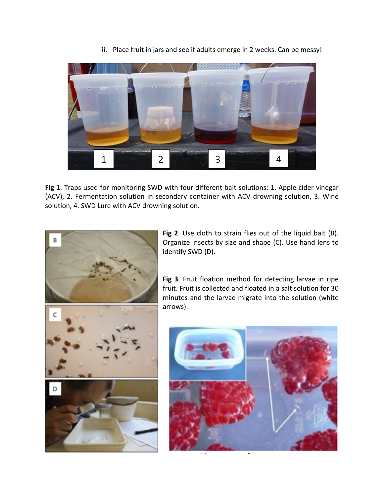

iii. Place fruit in jars and see if adults emerge in 2 weeks. Can be messy!

**Fig 1**. Traps used for monitoring SWD with four different bait solutions: 1. Apple cider vinegar (ACV), 2. Fermentation solution in secondary container with ACV drowning solution, 3. Wine solution, 4. SWD Lure with ACV drowning solution.

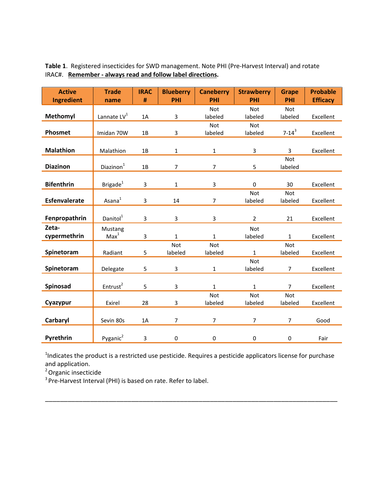| <b>Active</b>        | <b>Trade</b>            | <b>IRAC</b> | <b>Blueberry</b> | <b>Caneberry</b> | <b>Strawberry</b> | <b>Grape</b>   | <b>Probable</b> |
|----------------------|-------------------------|-------------|------------------|------------------|-------------------|----------------|-----------------|
| <b>Ingredient</b>    | name                    | #           | PHI              | PHI              | PHI               | PHI            | <b>Efficacy</b> |
|                      |                         |             |                  | Not              | <b>Not</b>        | <b>Not</b>     |                 |
| <b>Methomyl</b>      | Lannate LV <sup>1</sup> | 1A          | 3                | labeled          | labeled           | labeled        | Excellent       |
|                      |                         |             |                  | <b>Not</b>       | <b>Not</b>        |                |                 |
| Phosmet              | Imidan 70W              | 1B          | 3                | labeled          | labeled           | $7 - 14^3$     | Excellent       |
|                      |                         |             |                  |                  |                   |                |                 |
| <b>Malathion</b>     | Malathion               | 1B          | $\mathbf{1}$     | $\mathbf{1}$     | 3                 | 3              | Excellent       |
|                      |                         |             |                  |                  |                   | <b>Not</b>     |                 |
| <b>Diazinon</b>      | Diazinon <sup>1</sup>   | 1B          | $\overline{7}$   | $\overline{7}$   | 5                 | labeled        |                 |
|                      |                         |             |                  |                  |                   |                |                 |
| <b>Bifenthrin</b>    | Brigade $1$             | 3           | $\mathbf{1}$     | 3                | $\mathbf 0$       | 30             | Excellent       |
|                      |                         |             |                  |                  | <b>Not</b>        | <b>Not</b>     |                 |
| <b>Esfenvalerate</b> | Asana $1$               | 3           | 14               | $\overline{7}$   | labeled           | labeled        | Excellent       |
|                      |                         |             |                  |                  |                   |                |                 |
| Fenpropathrin        | Danitol <sup>1</sup>    | 3           | 3                | 3                | $\overline{2}$    | 21             | Excellent       |
| Zeta-                | Mustang                 |             |                  |                  | Not               |                |                 |
| cypermethrin         | Max <sup>1</sup>        | 3           | $\mathbf{1}$     | $\mathbf{1}$     | labeled           | $\mathbf{1}$   | Excellent       |
|                      |                         |             | Not              | Not              |                   | <b>Not</b>     |                 |
| Spinetoram           | Radiant                 | 5           | labeled          | labeled          | $\mathbf{1}$      | labeled        | Excellent       |
|                      |                         |             |                  |                  | Not               |                |                 |
| Spinetoram           | Delegate                | 5           | 3                | $\mathbf{1}$     | labeled           | $\overline{7}$ | Excellent       |
|                      |                         |             |                  |                  |                   |                |                 |
| Spinosad             | Entrust <sup>2</sup>    | 5           | 3                | $\mathbf{1}$     | $\mathbf{1}$      | $\overline{7}$ | Excellent       |
|                      |                         |             |                  | <b>Not</b>       | Not               | <b>Not</b>     |                 |
| Cyazypur             | Exirel                  | 28          | 3                | labeled          | labeled           | labeled        | Excellent       |
|                      |                         |             |                  |                  |                   |                |                 |
| Carbaryl             | Sevin 80s               | 1A          | $\overline{7}$   | $\overline{7}$   | $\overline{7}$    | $\overline{7}$ | Good            |
|                      |                         |             |                  |                  |                   |                |                 |
| Pyrethrin            | Pyganic <sup>2</sup>    | 3           | 0                | $\pmb{0}$        | $\pmb{0}$         | 0              | Fair            |

**Table 1**. Registered insecticides for SWD management. Note PHI (Pre-Harvest Interval) and rotate IRAC#. **Remember - always read and follow label directions.**

<sup>1</sup>Indicates the product is a restricted use pesticide. Requires a pesticide applicators license for purchase and application.

\_\_\_\_\_\_\_\_\_\_\_\_\_\_\_\_\_\_\_\_\_\_\_\_\_\_\_\_\_\_\_\_\_\_\_\_\_\_\_\_\_\_\_\_\_\_\_\_\_\_\_\_\_\_\_\_\_\_\_\_\_\_\_\_\_\_\_\_\_\_\_\_\_\_\_\_\_\_

2 Organic insecticide

<sup>3</sup> Pre-Harvest Interval (PHI) is based on rate. Refer to label.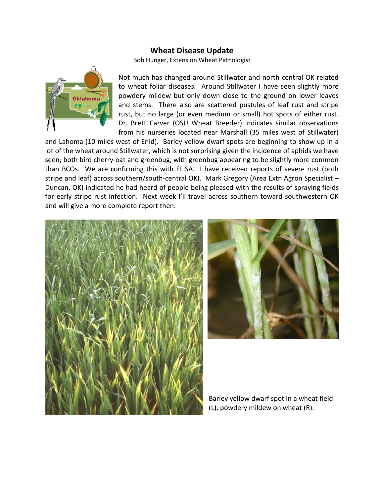# **Wheat Disease Update**

Bob Hunger, Extension Wheat Pathologist



Not much has changed around Stillwater and north central OK related to wheat foliar diseases. Around Stillwater I have seen slightly more powdery mildew but only down close to the ground on lower leaves and stems. There also are scattered pustules of leaf rust and stripe rust, but no large (or even medium or small) hot spots of either rust. Dr. Brett Carver (OSU Wheat Breeder) indicates similar observations from his nurseries located near Marshall (35 miles west of Stillwater)

and Lahoma (10 miles west of Enid). Barley yellow dwarf spots are beginning to show up in a lot of the wheat around Stillwater, which is not surprising given the incidence of aphids we have seen; both bird cherry-oat and greenbug, with greenbug appearing to be slightly more common than BCOs. We are confirming this with ELISA. I have received reports of severe rust (both stripe and leaf) across southern/south-central OK). Mark Gregory (Area Extn Agron Specialist – Duncan, OK) indicated he had heard of people being pleased with the results of spraying fields for early stripe rust infection. Next week I'll travel across southern toward southwestern OK and will give a more complete report then.





Barley yellow dwarf spot in a wheat field (L), powdery mildew on wheat (R).